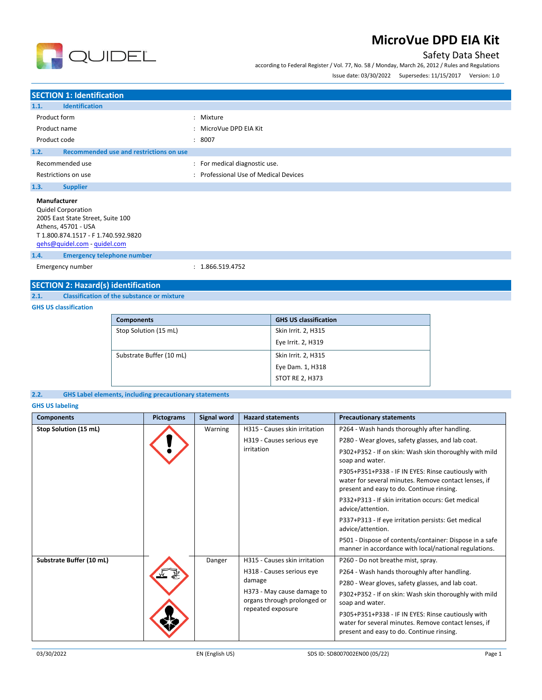

### Safety Data Sheet

according to Federal Register / Vol. 77, No. 58 / Monday, March 26, 2012 / Rules and Regulations

Issue date: 03/30/2022 Supersedes: 11/15/2017 Version: 1.0

| <b>SECTION 1: Identification</b>                                                                                                                                                    |                                                                              |
|-------------------------------------------------------------------------------------------------------------------------------------------------------------------------------------|------------------------------------------------------------------------------|
| <b>Identification</b><br>1.1.                                                                                                                                                       |                                                                              |
| Product form<br>Product name<br>Product code                                                                                                                                        | : Mixture<br>MicroVue DPD EIA Kit<br>$\ddot{\phantom{a}}$<br>8007<br>÷       |
| Recommended use and restrictions on use<br>1.2.                                                                                                                                     |                                                                              |
| Recommended use<br>Restrictions on use                                                                                                                                              | For medical diagnostic use.<br>÷<br>Professional Use of Medical Devices<br>÷ |
| 1.3.<br><b>Supplier</b>                                                                                                                                                             |                                                                              |
| <b>Manufacturer</b><br><b>Quidel Corporation</b><br>2005 East State Street, Suite 100<br>Athens, 45701 - USA<br>T 1.800.874.1517 - F 1.740.592.9820<br>qehs@quidel.com - quidel.com |                                                                              |
| <b>Emergency telephone number</b><br>1.4.                                                                                                                                           |                                                                              |
| Emergency number                                                                                                                                                                    | : 1.866.519.4752                                                             |

### **SECTION 2: Hazard(s) identification**

**2.1. Classification of the substance or mixture**

#### **GHS US classification**

| <b>Components</b>        | <b>GHS US classification</b> |
|--------------------------|------------------------------|
| Stop Solution (15 mL)    | Skin Irrit. 2, H315          |
|                          | Eye Irrit. 2, H319           |
| Substrate Buffer (10 mL) | Skin Irrit. 2, H315          |
|                          | Eye Dam. 1, H318             |
|                          | <b>STOT RE 2, H373</b>       |

**2.2. GHS Label elements, including precautionary statements**

#### **GHS US labeling**

| <b>Components</b>        | <b>Pictograms</b> | Signal word | <b>Hazard statements</b>                                                                                                                               | <b>Precautionary statements</b>                                                                                                                                                                                                                                                                                                                                                                                                                                                                                                                                                                                      |
|--------------------------|-------------------|-------------|--------------------------------------------------------------------------------------------------------------------------------------------------------|----------------------------------------------------------------------------------------------------------------------------------------------------------------------------------------------------------------------------------------------------------------------------------------------------------------------------------------------------------------------------------------------------------------------------------------------------------------------------------------------------------------------------------------------------------------------------------------------------------------------|
| Stop Solution (15 mL)    |                   | Warning     | H315 - Causes skin irritation<br>H319 - Causes serious eye<br>irritation                                                                               | P264 - Wash hands thoroughly after handling.<br>P280 - Wear gloves, safety glasses, and lab coat.<br>P302+P352 - If on skin: Wash skin thoroughly with mild<br>soap and water.<br>P305+P351+P338 - IF IN EYES: Rinse cautiously with<br>water for several minutes. Remove contact lenses, if<br>present and easy to do. Continue rinsing.<br>P332+P313 - If skin irritation occurs: Get medical<br>advice/attention.<br>P337+P313 - If eye irritation persists: Get medical<br>advice/attention.<br>P501 - Dispose of contents/container: Dispose in a safe<br>manner in accordance with local/national regulations. |
| Substrate Buffer (10 mL) |                   | Danger      | H315 - Causes skin irritation<br>H318 - Causes serious eye<br>damage<br>H373 - May cause damage to<br>organs through prolonged or<br>repeated exposure | P260 - Do not breathe mist, spray.<br>P264 - Wash hands thoroughly after handling.<br>P280 - Wear gloves, safety glasses, and lab coat.<br>P302+P352 - If on skin: Wash skin thoroughly with mild<br>soap and water.<br>P305+P351+P338 - IF IN EYES: Rinse cautiously with<br>water for several minutes. Remove contact lenses, if<br>present and easy to do. Continue rinsing.                                                                                                                                                                                                                                      |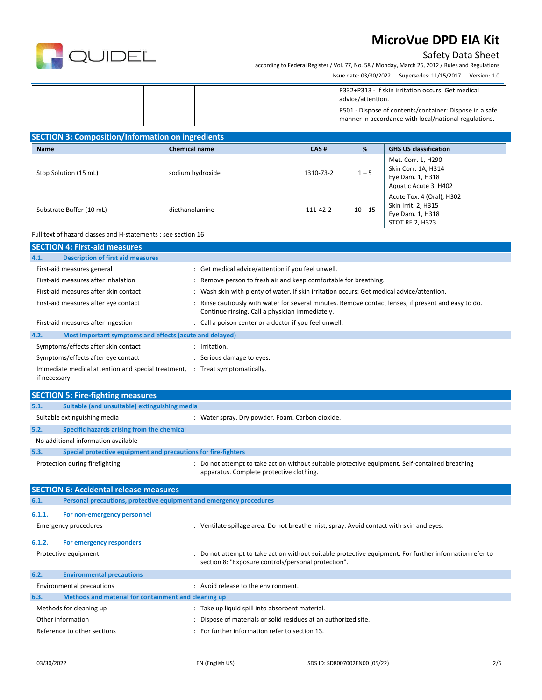

### Safety Data Sheet

according to Federal Register / Vol. 77, No. 58 / Monday, March 26, 2012 / Rules and Regulations Issue date: 03/30/2022 Supersedes: 11/15/2017 Version: 1.0

| P332+P313 - If skin irritation occurs: Get medical<br>advice/attention.<br>P501 - Dispose of contents/container: Dispose in a safe<br>manner in accordance with local/national regulations. |
|---------------------------------------------------------------------------------------------------------------------------------------------------------------------------------------------|
|---------------------------------------------------------------------------------------------------------------------------------------------------------------------------------------------|

| <b>SECTION 3: Composition/Information on ingredients</b> |  |
|----------------------------------------------------------|--|
|----------------------------------------------------------|--|

| <b>Name</b>              | <b>Chemical name</b> | CAS#      | %         | <b>GHS US classification</b>                                                            |
|--------------------------|----------------------|-----------|-----------|-----------------------------------------------------------------------------------------|
| Stop Solution (15 mL)    | sodium hydroxide     | 1310-73-2 | $1 - 5$   | Met. Corr. 1, H290<br>Skin Corr. 1A, H314<br>Eye Dam. 1, H318<br>Aquatic Acute 3, H402  |
| Substrate Buffer (10 mL) | diethanolamine       | 111-42-2  | $10 - 15$ | Acute Tox. 4 (Oral), H302<br>Skin Irrit. 2, H315<br>Eye Dam. 1, H318<br>STOT RE 2, H373 |

#### Full text of hazard classes and H-statements : see section 16

| <b>SECTION 4: First-aid measures</b>                            |                                                                                                                                                       |
|-----------------------------------------------------------------|-------------------------------------------------------------------------------------------------------------------------------------------------------|
| <b>Description of first aid measures</b><br>4.1.                |                                                                                                                                                       |
| First-aid measures general                                      | Get medical advice/attention if you feel unwell.                                                                                                      |
| First-aid measures after inhalation                             | Remove person to fresh air and keep comfortable for breathing.                                                                                        |
| First-aid measures after skin contact                           | Wash skin with plenty of water. If skin irritation occurs: Get medical advice/attention.<br>٠                                                         |
| First-aid measures after eye contact                            | Rinse cautiously with water for several minutes. Remove contact lenses, if present and easy to do.<br>Continue rinsing. Call a physician immediately. |
| First-aid measures after ingestion                              | Call a poison center or a doctor if you feel unwell.                                                                                                  |
| 4.2.<br>Most important symptoms and effects (acute and delayed) |                                                                                                                                                       |
| Symptoms/effects after skin contact                             | Irritation.                                                                                                                                           |
| Symptoms/effects after eye contact                              | Serious damage to eyes.                                                                                                                               |
| Immediate medical attention and special treatment, :            | Treat symptomatically.                                                                                                                                |

|        | <b>SECTION 5: Fire-fighting measures</b>                            |                                                                                                                                             |
|--------|---------------------------------------------------------------------|---------------------------------------------------------------------------------------------------------------------------------------------|
| 5.1.   | Suitable (and unsuitable) extinguishing media                       |                                                                                                                                             |
|        | Suitable extinguishing media                                        | : Water spray. Dry powder. Foam. Carbon dioxide.                                                                                            |
| 5.2.   | Specific hazards arising from the chemical                          |                                                                                                                                             |
|        | No additional information available                                 |                                                                                                                                             |
| 5.3.   | Special protective equipment and precautions for fire-fighters      |                                                                                                                                             |
|        | Protection during firefighting                                      | : Do not attempt to take action without suitable protective equipment. Self-contained breathing<br>apparatus. Complete protective clothing. |
|        | <b>SECTION 6: Accidental release measures</b>                       |                                                                                                                                             |
| 6.1.   | Personal precautions, protective equipment and emergency procedures |                                                                                                                                             |
| 6.1.1. | For non-emergency personnel                                         |                                                                                                                                             |
|        | <b>Emergency procedures</b>                                         | : Ventilate spillage area. Do not breathe mist, spray. Avoid contact with skin and eyes.                                                    |

| 6.1.2. | For emergency responders |                                                                                                       |
|--------|--------------------------|-------------------------------------------------------------------------------------------------------|
|        | Protective equipment     | Do not attempt to take action without suitable protective equipment. For further information refer to |

|                                                      | section 8: "Exposure controls/personal protection".                                                             |
|------------------------------------------------------|-----------------------------------------------------------------------------------------------------------------|
| <b>Environmental precautions</b>                     |                                                                                                                 |
|                                                      | Avoid release to the environment.                                                                               |
| Methods and material for containment and cleaning up |                                                                                                                 |
|                                                      | : Take up liquid spill into absorbent material.                                                                 |
|                                                      | Dispose of materials or solid residues at an authorized site.                                                   |
|                                                      | For further information refer to section 13.                                                                    |
|                                                      | <b>Environmental precautions</b><br>Methods for cleaning up<br>Other information<br>Reference to other sections |

if necessary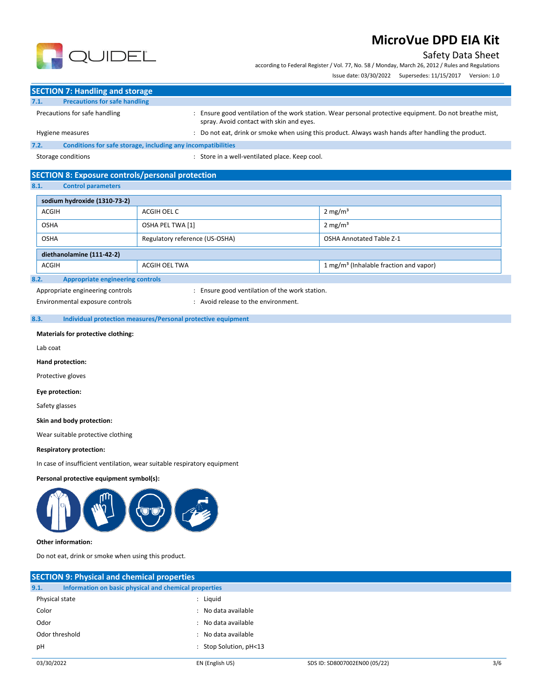### Safety Data Sheet

according to Federal Register / Vol. 77, No. 58 / Monday, March 26, 2012 / Rules and Regulations

Issue date: 03/30/2022 Supersedes: 11/15/2017 Version: 1.0



|      | <b>SECTION 7: Handling and storage</b>                       |                                                                                                                                                   |  |
|------|--------------------------------------------------------------|---------------------------------------------------------------------------------------------------------------------------------------------------|--|
| 7.1. | <b>Precautions for safe handling</b>                         |                                                                                                                                                   |  |
|      | Precautions for safe handling                                | Ensure good ventilation of the work station. Wear personal protective equipment. Do not breathe mist,<br>spray. Avoid contact with skin and eves. |  |
|      | Hygiene measures                                             | Do not eat, drink or smoke when using this product. Always wash hands after handling the product.                                                 |  |
| 7.2. | Conditions for safe storage, including any incompatibilities |                                                                                                                                                   |  |

Storage conditions : Store in a well-ventilated place. Keep cool.

### **SECTION 8: Exposure controls/personal protection**

**8.1. Control parameters**

| sodium hydroxide (1310-73-2)                    |  |                                                    |  |  |  |
|-------------------------------------------------|--|----------------------------------------------------|--|--|--|
| <b>ACGIH</b><br>ACGIH OEL C                     |  | $2 \text{ mg/m}^3$                                 |  |  |  |
| OSHA PEL TWA [1]<br><b>OSHA</b>                 |  | $2 \text{ mg/m}^3$                                 |  |  |  |
| Regulatory reference (US-OSHA)<br><b>OSHA</b>   |  | <b>OSHA Annotated Table Z-1</b>                    |  |  |  |
| diethanolamine (111-42-2)                       |  |                                                    |  |  |  |
| ACGIH<br>ACGIH OEL TWA                          |  | 1 mg/m <sup>3</sup> (Inhalable fraction and vapor) |  |  |  |
| <b>Appropriate engineering controls</b><br>8.2. |  |                                                    |  |  |  |

Appropriate engineering controls **interpretent controls** : Ensure good ventilation of the work station.

Environmental exposure controls entitled by the environment.

### **8.3. Individual protection measures/Personal protective equipment**

**Materials for protective clothing:**

Lab coat

**Hand protection:**

Protective gloves

**Eye protection:**

Safety glasses

**Skin and body protection:**

Wear suitable protective clothing

#### **Respiratory protection:**

In case of insufficient ventilation, wear suitable respiratory equipment

#### **Personal protective equipment symbol(s):**



#### **Other information:**

Do not eat, drink or smoke when using this product.

| <b>SECTION 9: Physical and chemical properties</b>            |                        |                               |     |
|---------------------------------------------------------------|------------------------|-------------------------------|-----|
| 9.1.<br>Information on basic physical and chemical properties |                        |                               |     |
| Physical state                                                | : Liguid               |                               |     |
| Color                                                         | : No data available    |                               |     |
| Odor                                                          | : No data available    |                               |     |
| Odor threshold                                                | : No data available    |                               |     |
| рH                                                            | : Stop Solution, pH<13 |                               |     |
| 03/30/2022                                                    | EN (English US)        | SDS ID: SD8007002EN00 (05/22) | 3/6 |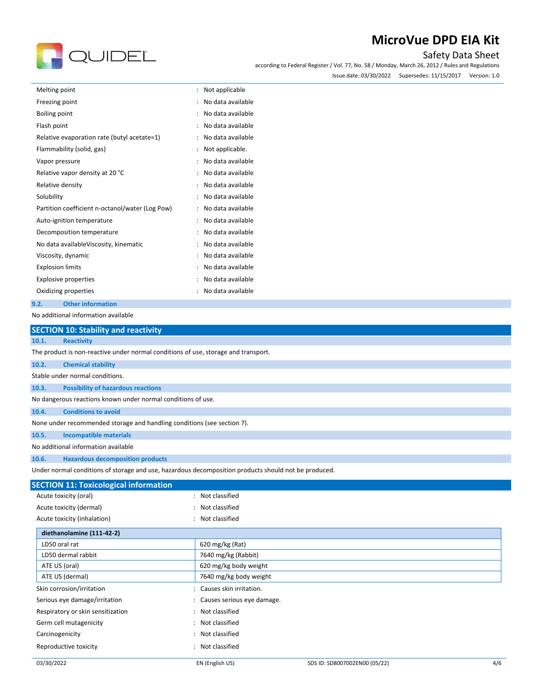# QUIDEL

## **MicroVue DPD EIA Kit**

### Safety Data Sheet

according to Federal Register / Vol. 77, No. 58 / Monday, March 26, 2012 / Rules and Regulations

| Issue date: 03/30/2022 | Supersedes: 11/15/2017 | Version: 1.0 |
|------------------------|------------------------|--------------|
|                        |                        |              |

| Melting point                                   | Not applicable<br>$\ddot{\phantom{a}}$    |
|-------------------------------------------------|-------------------------------------------|
| Freezing point                                  | No data available                         |
| <b>Boiling point</b>                            | No data available                         |
| Flash point                                     | No data available                         |
| Relative evaporation rate (butyl acetate=1)     | No data available                         |
| Flammability (solid, gas)                       | Not applicable.                           |
| Vapor pressure                                  | No data available                         |
| Relative vapor density at 20 °C                 | No data available                         |
| Relative density                                | No data available                         |
| Solubility                                      | No data available                         |
| Partition coefficient n-octanol/water (Log Pow) | No data available                         |
| Auto-ignition temperature                       | No data available                         |
| Decomposition temperature                       | No data available                         |
| No data available Viscosity, kinematic          | No data available                         |
| Viscosity, dynamic                              | No data available<br>$\ddot{\phantom{a}}$ |
| <b>Explosion limits</b>                         | No data available<br>$\ddot{\phantom{a}}$ |
| <b>Explosive properties</b>                     | No data available                         |
| Oxidizing properties                            | No data available                         |
| <b>Other information</b><br>9.2.                |                                           |

No additional information available

|                                              | <b>SECTION 10: Stability and reactivity</b>                                                          |                            |  |  |  |
|----------------------------------------------|------------------------------------------------------------------------------------------------------|----------------------------|--|--|--|
| 10.1.<br><b>Reactivity</b>                   |                                                                                                      |                            |  |  |  |
|                                              | The product is non-reactive under normal conditions of use, storage and transport.                   |                            |  |  |  |
| 10.2.<br><b>Chemical stability</b>           |                                                                                                      |                            |  |  |  |
|                                              | Stable under normal conditions.                                                                      |                            |  |  |  |
| 10.3.                                        | <b>Possibility of hazardous reactions</b>                                                            |                            |  |  |  |
|                                              | No dangerous reactions known under normal conditions of use.                                         |                            |  |  |  |
| <b>Conditions to avoid</b><br>10.4.          |                                                                                                      |                            |  |  |  |
|                                              | None under recommended storage and handling conditions (see section 7).                              |                            |  |  |  |
| <b>Incompatible materials</b><br>10.5.       |                                                                                                      |                            |  |  |  |
| No additional information available          |                                                                                                      |                            |  |  |  |
| 10.6.                                        | <b>Hazardous decomposition products</b>                                                              |                            |  |  |  |
|                                              | Under normal conditions of storage and use, hazardous decomposition products should not be produced. |                            |  |  |  |
| <b>SECTION 11: Toxicological information</b> |                                                                                                      |                            |  |  |  |
| Acute toxicity (oral)                        |                                                                                                      | : Not classified           |  |  |  |
| Acute toxicity (dermal)                      |                                                                                                      | Not classified             |  |  |  |
| Acute toxicity (inhalation)                  |                                                                                                      | Not classified             |  |  |  |
| diethanolamine (111-42-2)                    |                                                                                                      |                            |  |  |  |
| LD50 oral rat                                |                                                                                                      | 620 mg/kg (Rat)            |  |  |  |
| LD50 dermal rabbit                           |                                                                                                      | 7640 mg/kg (Rabbit)        |  |  |  |
| ATE US (oral)                                |                                                                                                      | 620 mg/kg body weight      |  |  |  |
| ATE US (dermal)                              |                                                                                                      | 7640 mg/kg body weight     |  |  |  |
| Skin corrosion/irritation                    |                                                                                                      | Causes skin irritation.    |  |  |  |
| Serious eye damage/irritation                |                                                                                                      | Causes serious eye damage. |  |  |  |
| Respiratory or skin sensitization            |                                                                                                      | Not classified             |  |  |  |

Germ cell mutagenicity and the control of the classified in the classified Carcinogenicity **Example 2018** 2019 2019 2021 2022 2023 Reproductive toxicity **in the case of the CR is a control of the CR** in Not classified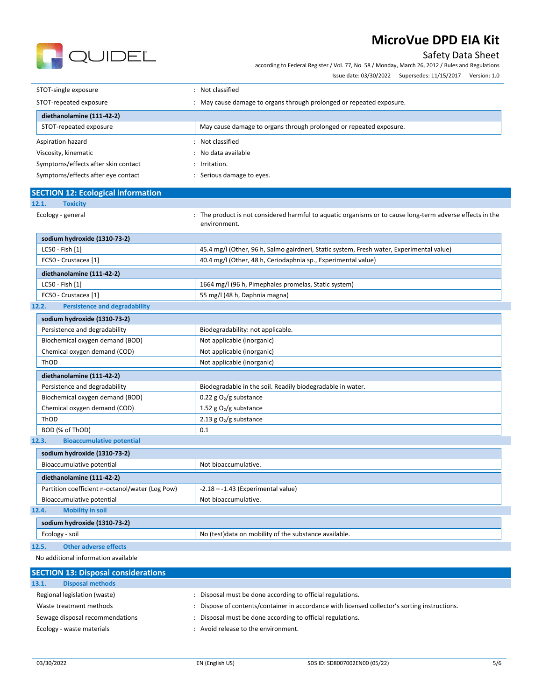

Safety Data Sheet according to Federal Register / Vol. 77, No. 58 / Monday, March 26, 2012 / Rules and Regulations

Issue date: 03/30/2022 Supersedes: 11/15/2017 Version: 1.0

| STOT-single exposure                | Not classified                                                     |  |  |
|-------------------------------------|--------------------------------------------------------------------|--|--|
| STOT-repeated exposure              | May cause damage to organs through prolonged or repeated exposure. |  |  |
| diethanolamine (111-42-2)           |                                                                    |  |  |
| STOT-repeated exposure              | May cause damage to organs through prolonged or repeated exposure. |  |  |
| Aspiration hazard                   | Not classified<br>$\sim$                                           |  |  |
| Viscosity, kinematic                | No data available                                                  |  |  |
| Symptoms/effects after skin contact | $:$ Irritation.                                                    |  |  |
| Symptoms/effects after eye contact  | Serious damage to eyes.                                            |  |  |

|       | <b>SECTION 12: Ecological information</b> |  |  |  |  |  |  |
|-------|-------------------------------------------|--|--|--|--|--|--|
| 12.1. | <b>Toxicity</b>                           |  |  |  |  |  |  |
|       |                                           |  |  |  |  |  |  |

Ecology - general **interproduct is not considered harmful to aquatic organisms or to cause long-term adverse effects in the** environment.

| sodium hydroxide (1310-73-2)                                                                                |                                                      |  |
|-------------------------------------------------------------------------------------------------------------|------------------------------------------------------|--|
| 45.4 mg/l (Other, 96 h, Salmo gairdneri, Static system, Fresh water, Experimental value)<br>LC50 - Fish [1] |                                                      |  |
| 40.4 mg/l (Other, 48 h, Ceriodaphnia sp., Experimental value)<br>EC50 - Crustacea [1]                       |                                                      |  |
| diethanolamine (111-42-2)                                                                                   |                                                      |  |
|                                                                                                             |                                                      |  |
| LC50 - Fish [1]                                                                                             | 1664 mg/l (96 h, Pimephales promelas, Static system) |  |

#### **12.2. Persistence and degradability**

| sodium hydroxide (1310-73-2)                                |                                                            |  |  |
|-------------------------------------------------------------|------------------------------------------------------------|--|--|
| Persistence and degradability                               | Biodegradability: not applicable.                          |  |  |
| Biochemical oxygen demand (BOD)                             | Not applicable (inorganic)                                 |  |  |
| Chemical oxygen demand (COD)                                | Not applicable (inorganic)                                 |  |  |
| ThOD                                                        | Not applicable (inorganic)                                 |  |  |
| diethanolamine (111-42-2)                                   |                                                            |  |  |
| Persistence and degradability                               | Biodegradable in the soil. Readily biodegradable in water. |  |  |
| Biochemical oxygen demand (BOD)<br>0.22 g $O_2/g$ substance |                                                            |  |  |
| Chemical oxygen demand (COD)                                | 1.52 g $O_2/g$ substance                                   |  |  |
| ThOD                                                        | 2.13 g $O_2/g$ substance                                   |  |  |
| BOD (% of ThOD)                                             | 0.1                                                        |  |  |
| <b>Bioaccumulative potential</b><br>12.3.                   |                                                            |  |  |

| sodium hydroxide (1310-73-2)                                                            |                                                        |  |  |  |
|-----------------------------------------------------------------------------------------|--------------------------------------------------------|--|--|--|
| Bioaccumulative potential<br>Not bioaccumulative.                                       |                                                        |  |  |  |
| diethanolamine (111-42-2)                                                               |                                                        |  |  |  |
| Partition coefficient n-octanol/water (Log Pow)<br>$-2.18 - -1.43$ (Experimental value) |                                                        |  |  |  |
| Bioaccumulative potential                                                               | Not bioaccumulative.                                   |  |  |  |
| <b>Mobility in soil</b><br>12.4.                                                        |                                                        |  |  |  |
| sodium hydroxide (1310-73-2)                                                            |                                                        |  |  |  |
| Ecology - soil                                                                          | No (test) data on mobility of the substance available. |  |  |  |

#### **12.5. Other adverse effects**

No additional information available

| <b>SECTION 13: Disposal considerations</b> |                                                                                             |
|--------------------------------------------|---------------------------------------------------------------------------------------------|
| <b>Disposal methods</b><br>13.1.           |                                                                                             |
| Regional legislation (waste)               | Disposal must be done according to official regulations.                                    |
| Waste treatment methods                    | Dispose of contents/container in accordance with licensed collector's sorting instructions. |
| Sewage disposal recommendations            | Disposal must be done according to official regulations.                                    |
| Ecology - waste materials                  | Avoid release to the environment.                                                           |